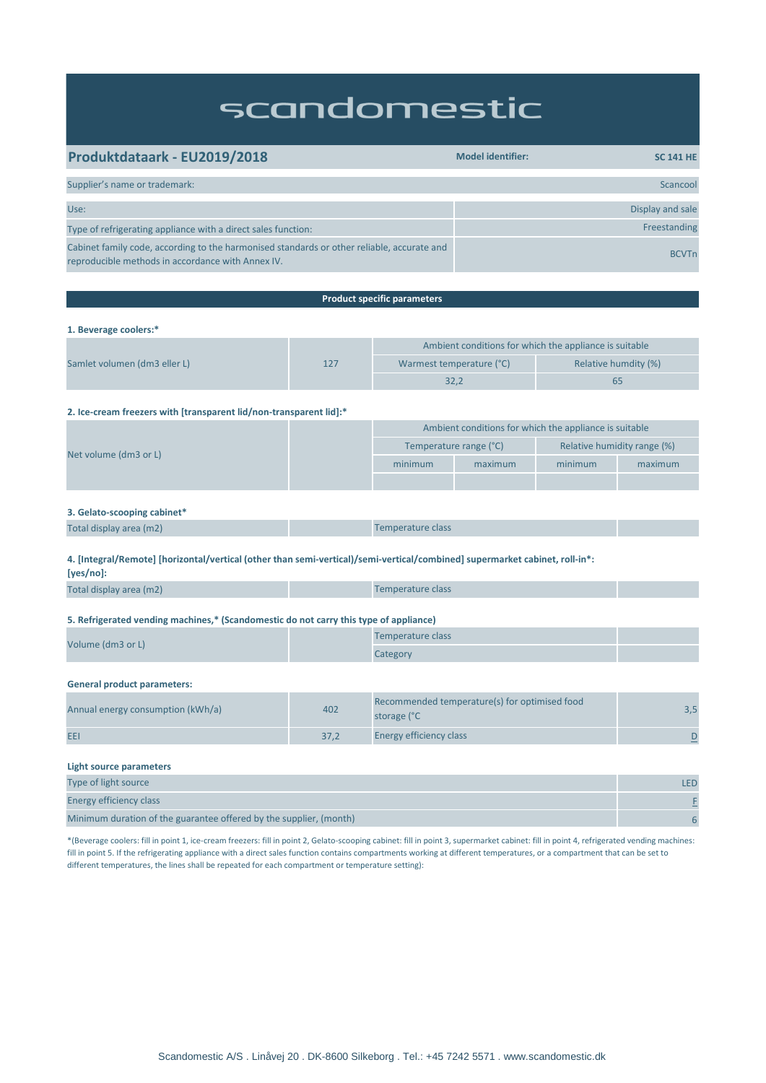# scandomestic

| Produktdataark - EU2019/2018                                                                                                                    | <b>Model identifier:</b><br><b>SC 141 HE</b> |
|-------------------------------------------------------------------------------------------------------------------------------------------------|----------------------------------------------|
|                                                                                                                                                 |                                              |
| Supplier's name or trademark:                                                                                                                   | Scancool                                     |
|                                                                                                                                                 |                                              |
| Use:                                                                                                                                            | Display and sale                             |
| Type of refrigerating appliance with a direct sales function:                                                                                   | Freestanding                                 |
| Cabinet family code, according to the harmonised standards or other reliable, accurate and<br>reproducible methods in accordance with Annex IV. | <b>BCVTn</b>                                 |

| <b>Product specific parameters</b>                                                                                                       |      |                                                              |         |                             |                |  |
|------------------------------------------------------------------------------------------------------------------------------------------|------|--------------------------------------------------------------|---------|-----------------------------|----------------|--|
|                                                                                                                                          |      |                                                              |         |                             |                |  |
| 1. Beverage coolers:*                                                                                                                    |      |                                                              |         |                             |                |  |
|                                                                                                                                          | 127  | Ambient conditions for which the appliance is suitable       |         |                             |                |  |
| Samlet volumen (dm3 eller L)                                                                                                             |      | Warmest temperature (°C)                                     |         | Relative humdity (%)        |                |  |
|                                                                                                                                          |      | 32,2                                                         |         | 65                          |                |  |
| 2. Ice-cream freezers with [transparent lid/non-transparent lid]:*                                                                       |      |                                                              |         |                             |                |  |
|                                                                                                                                          |      | Ambient conditions for which the appliance is suitable       |         |                             |                |  |
|                                                                                                                                          |      | Temperature range (°C)                                       |         | Relative humidity range (%) |                |  |
| Net volume (dm3 or L)                                                                                                                    |      | minimum                                                      | maximum | minimum                     | maximum        |  |
|                                                                                                                                          |      |                                                              |         |                             |                |  |
| 3. Gelato-scooping cabinet*                                                                                                              |      |                                                              |         |                             |                |  |
| Total display area (m2)                                                                                                                  |      | Temperature class                                            |         |                             |                |  |
| 4. [Integral/Remote] [horizontal/vertical (other than semi-vertical)/semi-vertical/combined] supermarket cabinet, roll-in*:<br>[yes/no]: |      |                                                              |         |                             |                |  |
| Total display area (m2)                                                                                                                  |      | Temperature class                                            |         |                             |                |  |
| 5. Refrigerated vending machines,* (Scandomestic do not carry this type of appliance)                                                    |      |                                                              |         |                             |                |  |
| Volume (dm3 or L)                                                                                                                        |      | Temperature class                                            |         |                             |                |  |
|                                                                                                                                          |      | Category                                                     |         |                             |                |  |
| <b>General product parameters:</b>                                                                                                       |      |                                                              |         |                             |                |  |
| Annual energy consumption (kWh/a)                                                                                                        | 402  | Recommended temperature(s) for optimised food<br>storage (°C |         | 3,5                         |                |  |
| EEI                                                                                                                                      | 37,2 | <b>Energy efficiency class</b>                               |         |                             | $\overline{D}$ |  |
| <b>Light source parameters</b>                                                                                                           |      |                                                              |         |                             |                |  |

| Type of light source                                               | LED |
|--------------------------------------------------------------------|-----|
| Energy efficiency class                                            |     |
| Minimum duration of the guarantee offered by the supplier, (month) |     |

\*(Beverage coolers: fill in point 1, ice-cream freezers: fill in point 2, Gelato-scooping cabinet: fill in point 3, supermarket cabinet: fill in point 4, refrigerated vending machines: fill in point 5. If the refrigerating appliance with a direct sales function contains compartments working at different temperatures, or a compartment that can be set to different temperatures, the lines shall be repeated for each compartment or temperature setting):